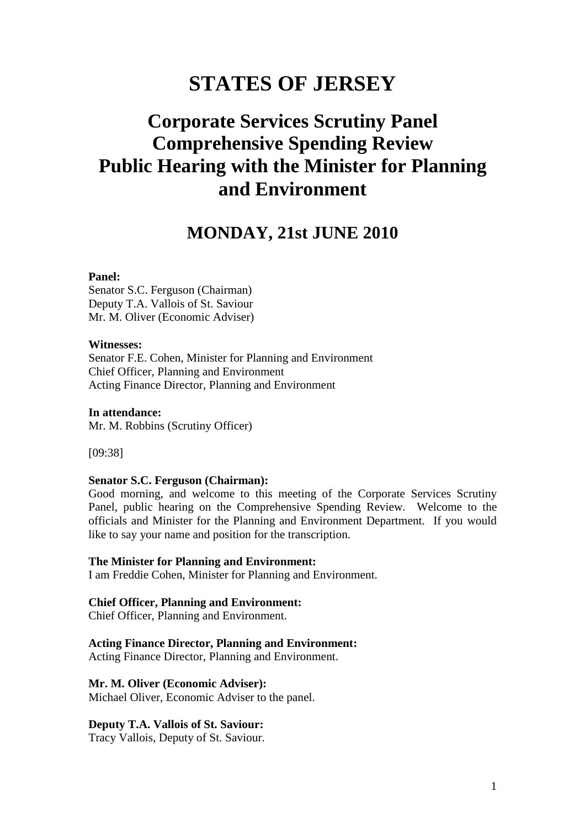# **STATES OF JERSEY**

# **Corporate Services Scrutiny Panel Comprehensive Spending Review Public Hearing with the Minister for Planning and Environment**

## **MONDAY, 21st JUNE 2010**

#### **Panel:**

Senator S.C. Ferguson (Chairman) Deputy T.A. Vallois of St. Saviour Mr. M. Oliver (Economic Adviser)

#### **Witnesses:**

Senator F.E. Cohen, Minister for Planning and Environment Chief Officer, Planning and Environment Acting Finance Director, Planning and Environment

**In attendance:**  Mr. M. Robbins (Scrutiny Officer)

[09:38]

#### **Senator S.C. Ferguson (Chairman):**

Good morning, and welcome to this meeting of the Corporate Services Scrutiny Panel, public hearing on the Comprehensive Spending Review. Welcome to the officials and Minister for the Planning and Environment Department. If you would like to say your name and position for the transcription.

#### **The Minister for Planning and Environment:**

I am Freddie Cohen, Minister for Planning and Environment.

#### **Chief Officer, Planning and Environment:**

Chief Officer, Planning and Environment.

#### **Acting Finance Director, Planning and Environment:**

Acting Finance Director, Planning and Environment.

#### **Mr. M. Oliver (Economic Adviser):**

Michael Oliver, Economic Adviser to the panel.

#### **Deputy T.A. Vallois of St. Saviour:**

Tracy Vallois, Deputy of St. Saviour.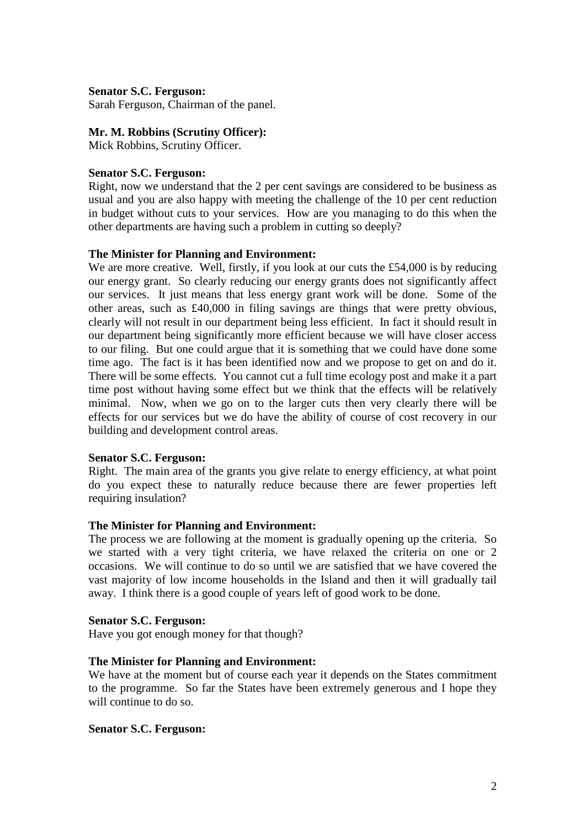#### **Senator S.C. Ferguson:**

Sarah Ferguson, Chairman of the panel.

#### **Mr. M. Robbins (Scrutiny Officer):**

Mick Robbins, Scrutiny Officer.

#### **Senator S.C. Ferguson:**

Right, now we understand that the 2 per cent savings are considered to be business as usual and you are also happy with meeting the challenge of the 10 per cent reduction in budget without cuts to your services. How are you managing to do this when the other departments are having such a problem in cutting so deeply?

#### **The Minister for Planning and Environment:**

We are more creative. Well, firstly, if you look at our cuts the £54,000 is by reducing our energy grant. So clearly reducing our energy grants does not significantly affect our services. It just means that less energy grant work will be done. Some of the other areas, such as £40,000 in filing savings are things that were pretty obvious, clearly will not result in our department being less efficient. In fact it should result in our department being significantly more efficient because we will have closer access to our filing. But one could argue that it is something that we could have done some time ago. The fact is it has been identified now and we propose to get on and do it. There will be some effects. You cannot cut a full time ecology post and make it a part time post without having some effect but we think that the effects will be relatively minimal. Now, when we go on to the larger cuts then very clearly there will be effects for our services but we do have the ability of course of cost recovery in our building and development control areas.

#### **Senator S.C. Ferguson:**

Right. The main area of the grants you give relate to energy efficiency, at what point do you expect these to naturally reduce because there are fewer properties left requiring insulation?

## **The Minister for Planning and Environment:**

The process we are following at the moment is gradually opening up the criteria. So we started with a very tight criteria, we have relaxed the criteria on one or 2 occasions. We will continue to do so until we are satisfied that we have covered the vast majority of low income households in the Island and then it will gradually tail away. I think there is a good couple of years left of good work to be done.

#### **Senator S.C. Ferguson:**

Have you got enough money for that though?

## **The Minister for Planning and Environment:**

We have at the moment but of course each year it depends on the States commitment to the programme. So far the States have been extremely generous and I hope they will continue to do so.

#### **Senator S.C. Ferguson:**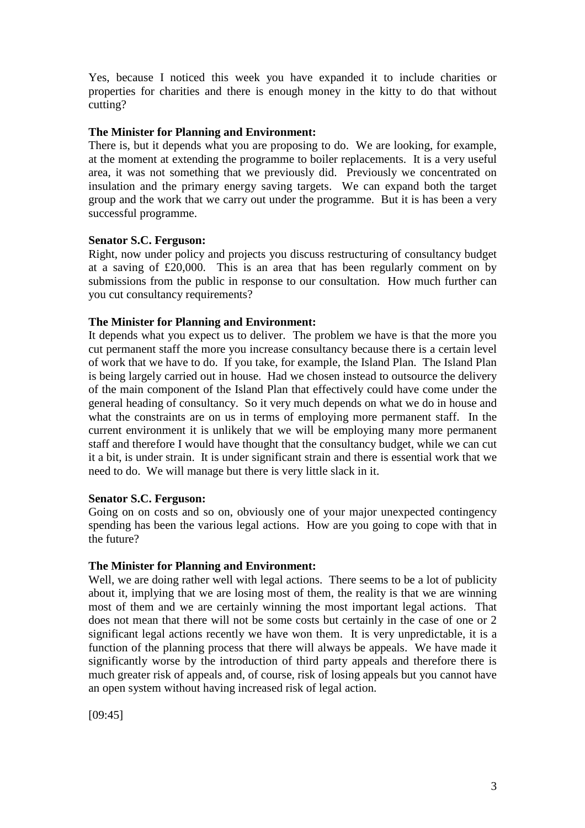Yes, because I noticed this week you have expanded it to include charities or properties for charities and there is enough money in the kitty to do that without cutting?

## **The Minister for Planning and Environment:**

There is, but it depends what you are proposing to do. We are looking, for example, at the moment at extending the programme to boiler replacements. It is a very useful area, it was not something that we previously did. Previously we concentrated on insulation and the primary energy saving targets. We can expand both the target group and the work that we carry out under the programme. But it is has been a very successful programme.

## **Senator S.C. Ferguson:**

Right, now under policy and projects you discuss restructuring of consultancy budget at a saving of £20,000. This is an area that has been regularly comment on by submissions from the public in response to our consultation. How much further can you cut consultancy requirements?

## **The Minister for Planning and Environment:**

It depends what you expect us to deliver. The problem we have is that the more you cut permanent staff the more you increase consultancy because there is a certain level of work that we have to do. If you take, for example, the Island Plan. The Island Plan is being largely carried out in house. Had we chosen instead to outsource the delivery of the main component of the Island Plan that effectively could have come under the general heading of consultancy. So it very much depends on what we do in house and what the constraints are on us in terms of employing more permanent staff. In the current environment it is unlikely that we will be employing many more permanent staff and therefore I would have thought that the consultancy budget, while we can cut it a bit, is under strain. It is under significant strain and there is essential work that we need to do. We will manage but there is very little slack in it.

## **Senator S.C. Ferguson:**

Going on on costs and so on, obviously one of your major unexpected contingency spending has been the various legal actions. How are you going to cope with that in the future?

## **The Minister for Planning and Environment:**

Well, we are doing rather well with legal actions. There seems to be a lot of publicity about it, implying that we are losing most of them, the reality is that we are winning most of them and we are certainly winning the most important legal actions. That does not mean that there will not be some costs but certainly in the case of one or 2 significant legal actions recently we have won them. It is very unpredictable, it is a function of the planning process that there will always be appeals. We have made it significantly worse by the introduction of third party appeals and therefore there is much greater risk of appeals and, of course, risk of losing appeals but you cannot have an open system without having increased risk of legal action.

[09:45]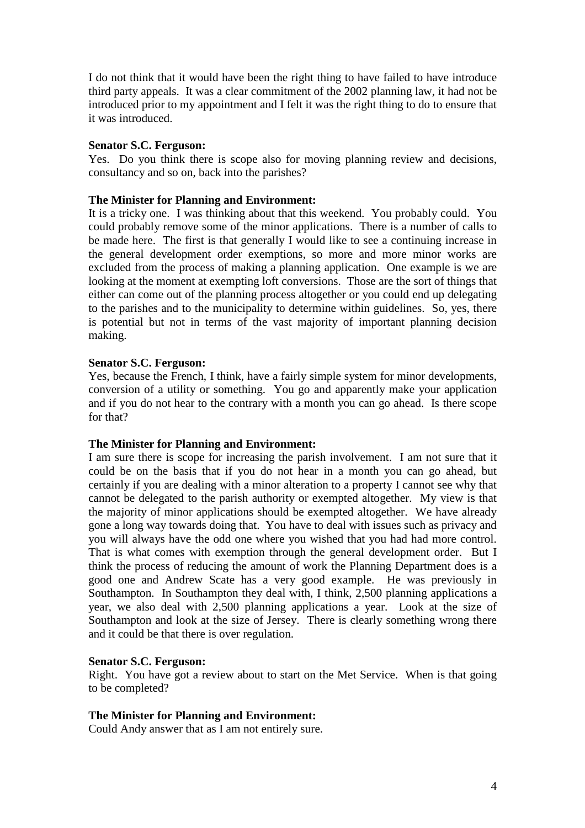I do not think that it would have been the right thing to have failed to have introduce third party appeals. It was a clear commitment of the 2002 planning law, it had not be introduced prior to my appointment and I felt it was the right thing to do to ensure that it was introduced.

#### **Senator S.C. Ferguson:**

Yes. Do you think there is scope also for moving planning review and decisions, consultancy and so on, back into the parishes?

## **The Minister for Planning and Environment:**

It is a tricky one. I was thinking about that this weekend. You probably could. You could probably remove some of the minor applications. There is a number of calls to be made here. The first is that generally I would like to see a continuing increase in the general development order exemptions, so more and more minor works are excluded from the process of making a planning application. One example is we are looking at the moment at exempting loft conversions. Those are the sort of things that either can come out of the planning process altogether or you could end up delegating to the parishes and to the municipality to determine within guidelines. So, yes, there is potential but not in terms of the vast majority of important planning decision making.

#### **Senator S.C. Ferguson:**

Yes, because the French, I think, have a fairly simple system for minor developments, conversion of a utility or something. You go and apparently make your application and if you do not hear to the contrary with a month you can go ahead. Is there scope for that?

#### **The Minister for Planning and Environment:**

I am sure there is scope for increasing the parish involvement. I am not sure that it could be on the basis that if you do not hear in a month you can go ahead, but certainly if you are dealing with a minor alteration to a property I cannot see why that cannot be delegated to the parish authority or exempted altogether. My view is that the majority of minor applications should be exempted altogether. We have already gone a long way towards doing that. You have to deal with issues such as privacy and you will always have the odd one where you wished that you had had more control. That is what comes with exemption through the general development order. But I think the process of reducing the amount of work the Planning Department does is a good one and Andrew Scate has a very good example. He was previously in Southampton. In Southampton they deal with, I think, 2,500 planning applications a year, we also deal with 2,500 planning applications a year. Look at the size of Southampton and look at the size of Jersey. There is clearly something wrong there and it could be that there is over regulation.

#### **Senator S.C. Ferguson:**

Right. You have got a review about to start on the Met Service. When is that going to be completed?

#### **The Minister for Planning and Environment:**

Could Andy answer that as I am not entirely sure.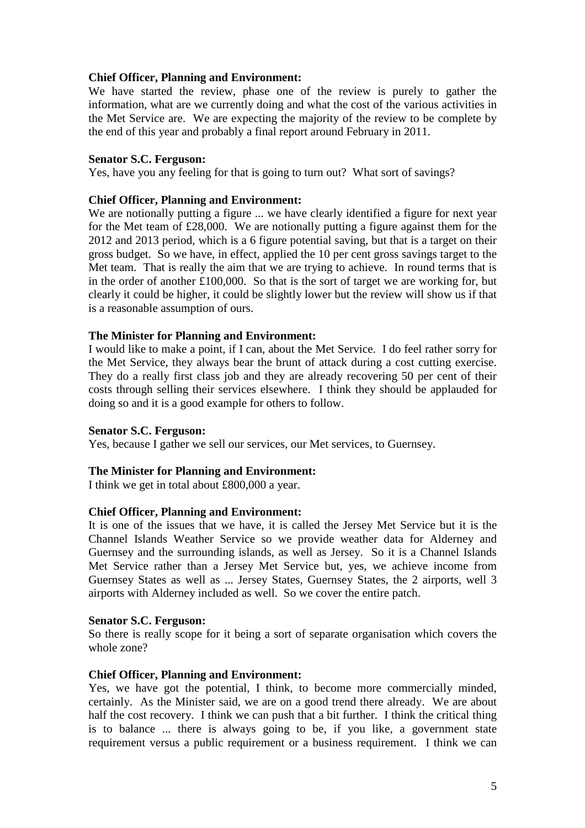## **Chief Officer, Planning and Environment:**

We have started the review, phase one of the review is purely to gather the information, what are we currently doing and what the cost of the various activities in the Met Service are. We are expecting the majority of the review to be complete by the end of this year and probably a final report around February in 2011.

#### **Senator S.C. Ferguson:**

Yes, have you any feeling for that is going to turn out? What sort of savings?

#### **Chief Officer, Planning and Environment:**

We are notionally putting a figure ... we have clearly identified a figure for next year for the Met team of £28,000. We are notionally putting a figure against them for the 2012 and 2013 period, which is a 6 figure potential saving, but that is a target on their gross budget. So we have, in effect, applied the 10 per cent gross savings target to the Met team. That is really the aim that we are trying to achieve. In round terms that is in the order of another  $£100,000$ . So that is the sort of target we are working for, but clearly it could be higher, it could be slightly lower but the review will show us if that is a reasonable assumption of ours.

#### **The Minister for Planning and Environment:**

I would like to make a point, if I can, about the Met Service. I do feel rather sorry for the Met Service, they always bear the brunt of attack during a cost cutting exercise. They do a really first class job and they are already recovering 50 per cent of their costs through selling their services elsewhere. I think they should be applauded for doing so and it is a good example for others to follow.

#### **Senator S.C. Ferguson:**

Yes, because I gather we sell our services, our Met services, to Guernsey.

#### **The Minister for Planning and Environment:**

I think we get in total about £800,000 a year.

#### **Chief Officer, Planning and Environment:**

It is one of the issues that we have, it is called the Jersey Met Service but it is the Channel Islands Weather Service so we provide weather data for Alderney and Guernsey and the surrounding islands, as well as Jersey. So it is a Channel Islands Met Service rather than a Jersey Met Service but, yes, we achieve income from Guernsey States as well as ... Jersey States, Guernsey States, the 2 airports, well 3 airports with Alderney included as well. So we cover the entire patch.

#### **Senator S.C. Ferguson:**

So there is really scope for it being a sort of separate organisation which covers the whole zone?

#### **Chief Officer, Planning and Environment:**

Yes, we have got the potential, I think, to become more commercially minded, certainly. As the Minister said, we are on a good trend there already. We are about half the cost recovery. I think we can push that a bit further. I think the critical thing is to balance ... there is always going to be, if you like, a government state requirement versus a public requirement or a business requirement. I think we can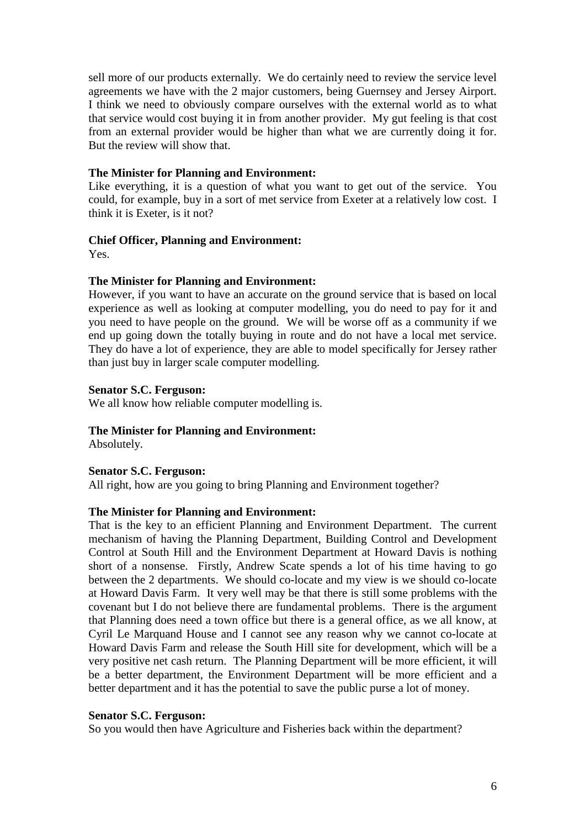sell more of our products externally. We do certainly need to review the service level agreements we have with the 2 major customers, being Guernsey and Jersey Airport. I think we need to obviously compare ourselves with the external world as to what that service would cost buying it in from another provider. My gut feeling is that cost from an external provider would be higher than what we are currently doing it for. But the review will show that.

#### **The Minister for Planning and Environment:**

Like everything, it is a question of what you want to get out of the service. You could, for example, buy in a sort of met service from Exeter at a relatively low cost. I think it is Exeter, is it not?

#### **Chief Officer, Planning and Environment:**

Yes.

## **The Minister for Planning and Environment:**

However, if you want to have an accurate on the ground service that is based on local experience as well as looking at computer modelling, you do need to pay for it and you need to have people on the ground. We will be worse off as a community if we end up going down the totally buying in route and do not have a local met service. They do have a lot of experience, they are able to model specifically for Jersey rather than just buy in larger scale computer modelling.

#### **Senator S.C. Ferguson:**

We all know how reliable computer modelling is.

## **The Minister for Planning and Environment:**

Absolutely.

## **Senator S.C. Ferguson:**

All right, how are you going to bring Planning and Environment together?

#### **The Minister for Planning and Environment:**

That is the key to an efficient Planning and Environment Department. The current mechanism of having the Planning Department, Building Control and Development Control at South Hill and the Environment Department at Howard Davis is nothing short of a nonsense. Firstly, Andrew Scate spends a lot of his time having to go between the 2 departments. We should co-locate and my view is we should co-locate at Howard Davis Farm. It very well may be that there is still some problems with the covenant but I do not believe there are fundamental problems. There is the argument that Planning does need a town office but there is a general office, as we all know, at Cyril Le Marquand House and I cannot see any reason why we cannot co-locate at Howard Davis Farm and release the South Hill site for development, which will be a very positive net cash return. The Planning Department will be more efficient, it will be a better department, the Environment Department will be more efficient and a better department and it has the potential to save the public purse a lot of money.

#### **Senator S.C. Ferguson:**

So you would then have Agriculture and Fisheries back within the department?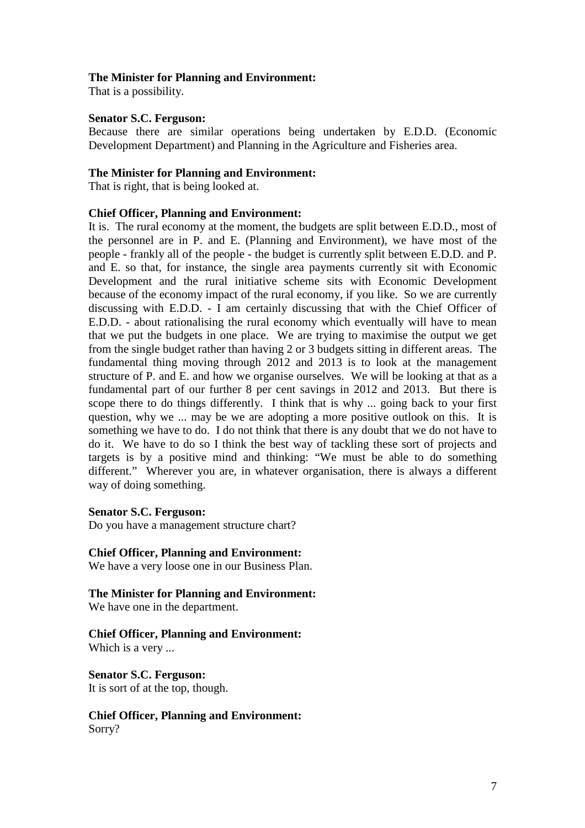## **The Minister for Planning and Environment:**

That is a possibility.

#### **Senator S.C. Ferguson:**

Because there are similar operations being undertaken by E.D.D. (Economic Development Department) and Planning in the Agriculture and Fisheries area.

#### **The Minister for Planning and Environment:**

That is right, that is being looked at.

#### **Chief Officer, Planning and Environment:**

It is. The rural economy at the moment, the budgets are split between E.D.D., most of the personnel are in P. and E. (Planning and Environment), we have most of the people - frankly all of the people - the budget is currently split between E.D.D. and P. and E. so that, for instance, the single area payments currently sit with Economic Development and the rural initiative scheme sits with Economic Development because of the economy impact of the rural economy, if you like. So we are currently discussing with E.D.D. - I am certainly discussing that with the Chief Officer of E.D.D. - about rationalising the rural economy which eventually will have to mean that we put the budgets in one place. We are trying to maximise the output we get from the single budget rather than having 2 or 3 budgets sitting in different areas. The fundamental thing moving through 2012 and 2013 is to look at the management structure of P. and E. and how we organise ourselves. We will be looking at that as a fundamental part of our further 8 per cent savings in 2012 and 2013. But there is scope there to do things differently. I think that is why ... going back to your first question, why we ... may be we are adopting a more positive outlook on this. It is something we have to do. I do not think that there is any doubt that we do not have to do it. We have to do so I think the best way of tackling these sort of projects and targets is by a positive mind and thinking: "We must be able to do something different." Wherever you are, in whatever organisation, there is always a different way of doing something.

#### **Senator S.C. Ferguson:**

Do you have a management structure chart?

#### **Chief Officer, Planning and Environment:**

We have a very loose one in our Business Plan.

#### **The Minister for Planning and Environment:**

We have one in the department.

## **Chief Officer, Planning and Environment:**

Which is a very ...

## **Senator S.C. Ferguson:**

It is sort of at the top, though.

**Chief Officer, Planning and Environment:** Sorry?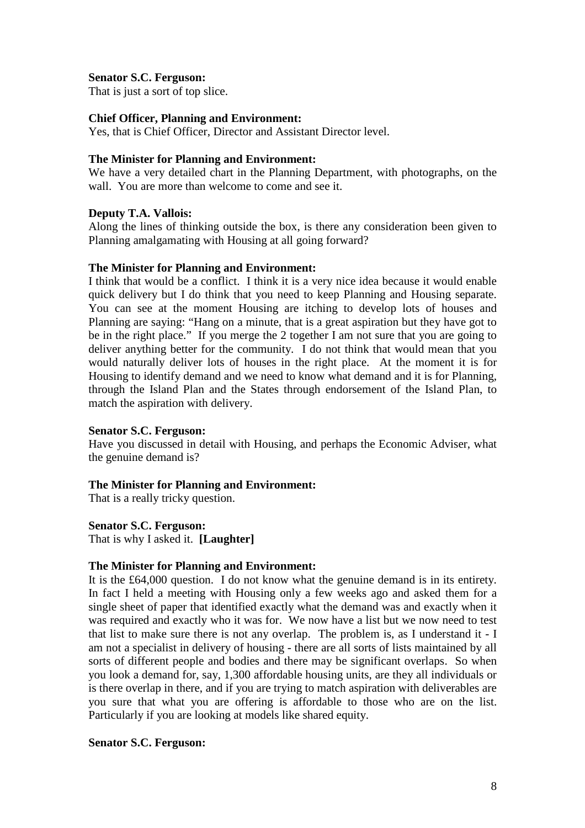## **Senator S.C. Ferguson:**

That is just a sort of top slice.

## **Chief Officer, Planning and Environment:**

Yes, that is Chief Officer, Director and Assistant Director level.

#### **The Minister for Planning and Environment:**

We have a very detailed chart in the Planning Department, with photographs, on the wall. You are more than welcome to come and see it.

#### **Deputy T.A. Vallois:**

Along the lines of thinking outside the box, is there any consideration been given to Planning amalgamating with Housing at all going forward?

#### **The Minister for Planning and Environment:**

I think that would be a conflict. I think it is a very nice idea because it would enable quick delivery but I do think that you need to keep Planning and Housing separate. You can see at the moment Housing are itching to develop lots of houses and Planning are saying: "Hang on a minute, that is a great aspiration but they have got to be in the right place." If you merge the 2 together I am not sure that you are going to deliver anything better for the community. I do not think that would mean that you would naturally deliver lots of houses in the right place. At the moment it is for Housing to identify demand and we need to know what demand and it is for Planning, through the Island Plan and the States through endorsement of the Island Plan, to match the aspiration with delivery.

#### **Senator S.C. Ferguson:**

Have you discussed in detail with Housing, and perhaps the Economic Adviser, what the genuine demand is?

## **The Minister for Planning and Environment:**

That is a really tricky question.

#### **Senator S.C. Ferguson:**

That is why I asked it. **[Laughter]**

#### **The Minister for Planning and Environment:**

It is the £64,000 question. I do not know what the genuine demand is in its entirety. In fact I held a meeting with Housing only a few weeks ago and asked them for a single sheet of paper that identified exactly what the demand was and exactly when it was required and exactly who it was for. We now have a list but we now need to test that list to make sure there is not any overlap. The problem is, as I understand it - I am not a specialist in delivery of housing - there are all sorts of lists maintained by all sorts of different people and bodies and there may be significant overlaps. So when you look a demand for, say, 1,300 affordable housing units, are they all individuals or is there overlap in there, and if you are trying to match aspiration with deliverables are you sure that what you are offering is affordable to those who are on the list. Particularly if you are looking at models like shared equity.

#### **Senator S.C. Ferguson:**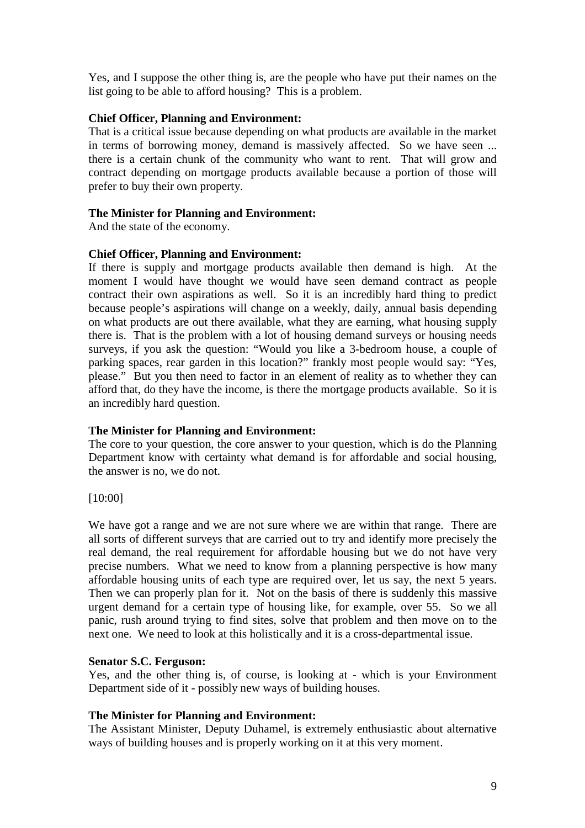Yes, and I suppose the other thing is, are the people who have put their names on the list going to be able to afford housing? This is a problem.

## **Chief Officer, Planning and Environment:**

That is a critical issue because depending on what products are available in the market in terms of borrowing money, demand is massively affected. So we have seen ... there is a certain chunk of the community who want to rent. That will grow and contract depending on mortgage products available because a portion of those will prefer to buy their own property.

## **The Minister for Planning and Environment:**

And the state of the economy.

## **Chief Officer, Planning and Environment:**

If there is supply and mortgage products available then demand is high. At the moment I would have thought we would have seen demand contract as people contract their own aspirations as well. So it is an incredibly hard thing to predict because people's aspirations will change on a weekly, daily, annual basis depending on what products are out there available, what they are earning, what housing supply there is. That is the problem with a lot of housing demand surveys or housing needs surveys, if you ask the question: "Would you like a 3-bedroom house, a couple of parking spaces, rear garden in this location?" frankly most people would say: "Yes, please." But you then need to factor in an element of reality as to whether they can afford that, do they have the income, is there the mortgage products available. So it is an incredibly hard question.

## **The Minister for Planning and Environment:**

The core to your question, the core answer to your question, which is do the Planning Department know with certainty what demand is for affordable and social housing, the answer is no, we do not.

[10:00]

We have got a range and we are not sure where we are within that range. There are all sorts of different surveys that are carried out to try and identify more precisely the real demand, the real requirement for affordable housing but we do not have very precise numbers. What we need to know from a planning perspective is how many affordable housing units of each type are required over, let us say, the next 5 years. Then we can properly plan for it. Not on the basis of there is suddenly this massive urgent demand for a certain type of housing like, for example, over 55. So we all panic, rush around trying to find sites, solve that problem and then move on to the next one. We need to look at this holistically and it is a cross-departmental issue.

## **Senator S.C. Ferguson:**

Yes, and the other thing is, of course, is looking at - which is your Environment Department side of it - possibly new ways of building houses.

## **The Minister for Planning and Environment:**

The Assistant Minister, Deputy Duhamel, is extremely enthusiastic about alternative ways of building houses and is properly working on it at this very moment.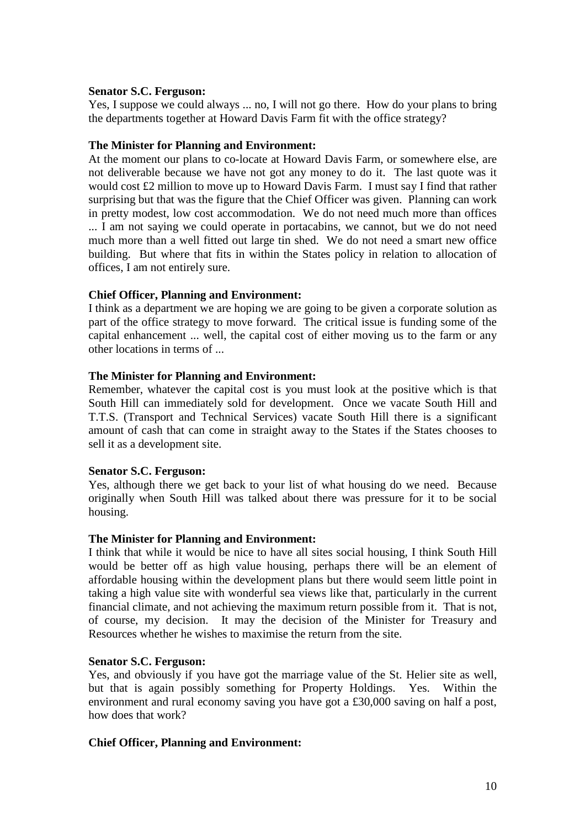#### **Senator S.C. Ferguson:**

Yes, I suppose we could always ... no, I will not go there. How do your plans to bring the departments together at Howard Davis Farm fit with the office strategy?

#### **The Minister for Planning and Environment:**

At the moment our plans to co-locate at Howard Davis Farm, or somewhere else, are not deliverable because we have not got any money to do it. The last quote was it would cost £2 million to move up to Howard Davis Farm. I must say I find that rather surprising but that was the figure that the Chief Officer was given. Planning can work in pretty modest, low cost accommodation. We do not need much more than offices ... I am not saying we could operate in portacabins, we cannot, but we do not need much more than a well fitted out large tin shed. We do not need a smart new office building. But where that fits in within the States policy in relation to allocation of offices, I am not entirely sure.

## **Chief Officer, Planning and Environment:**

I think as a department we are hoping we are going to be given a corporate solution as part of the office strategy to move forward. The critical issue is funding some of the capital enhancement ... well, the capital cost of either moving us to the farm or any other locations in terms of ...

#### **The Minister for Planning and Environment:**

Remember, whatever the capital cost is you must look at the positive which is that South Hill can immediately sold for development. Once we vacate South Hill and T.T.S. (Transport and Technical Services) vacate South Hill there is a significant amount of cash that can come in straight away to the States if the States chooses to sell it as a development site.

#### **Senator S.C. Ferguson:**

Yes, although there we get back to your list of what housing do we need. Because originally when South Hill was talked about there was pressure for it to be social housing.

#### **The Minister for Planning and Environment:**

I think that while it would be nice to have all sites social housing, I think South Hill would be better off as high value housing, perhaps there will be an element of affordable housing within the development plans but there would seem little point in taking a high value site with wonderful sea views like that, particularly in the current financial climate, and not achieving the maximum return possible from it. That is not, of course, my decision. It may the decision of the Minister for Treasury and Resources whether he wishes to maximise the return from the site.

## **Senator S.C. Ferguson:**

Yes, and obviously if you have got the marriage value of the St. Helier site as well, but that is again possibly something for Property Holdings. Yes. Within the environment and rural economy saving you have got a £30,000 saving on half a post, how does that work?

#### **Chief Officer, Planning and Environment:**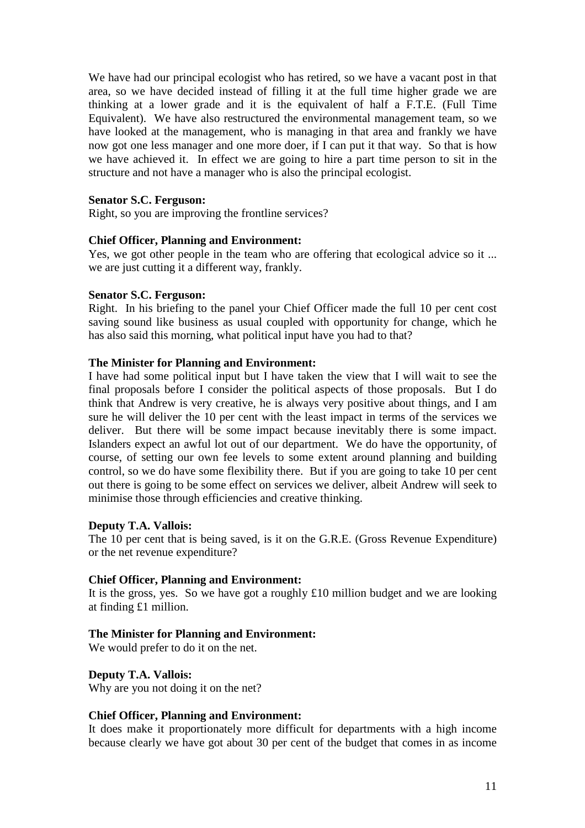We have had our principal ecologist who has retired, so we have a vacant post in that area, so we have decided instead of filling it at the full time higher grade we are thinking at a lower grade and it is the equivalent of half a F.T.E. (Full Time Equivalent). We have also restructured the environmental management team, so we have looked at the management, who is managing in that area and frankly we have now got one less manager and one more doer, if I can put it that way. So that is how we have achieved it. In effect we are going to hire a part time person to sit in the structure and not have a manager who is also the principal ecologist.

## **Senator S.C. Ferguson:**

Right, so you are improving the frontline services?

#### **Chief Officer, Planning and Environment:**

Yes, we got other people in the team who are offering that ecological advice so it ... we are just cutting it a different way, frankly.

#### **Senator S.C. Ferguson:**

Right. In his briefing to the panel your Chief Officer made the full 10 per cent cost saving sound like business as usual coupled with opportunity for change, which he has also said this morning, what political input have you had to that?

#### **The Minister for Planning and Environment:**

I have had some political input but I have taken the view that I will wait to see the final proposals before I consider the political aspects of those proposals. But I do think that Andrew is very creative, he is always very positive about things, and I am sure he will deliver the 10 per cent with the least impact in terms of the services we deliver. But there will be some impact because inevitably there is some impact. Islanders expect an awful lot out of our department. We do have the opportunity, of course, of setting our own fee levels to some extent around planning and building control, so we do have some flexibility there. But if you are going to take 10 per cent out there is going to be some effect on services we deliver, albeit Andrew will seek to minimise those through efficiencies and creative thinking.

## **Deputy T.A. Vallois:**

The 10 per cent that is being saved, is it on the G.R.E. (Gross Revenue Expenditure) or the net revenue expenditure?

## **Chief Officer, Planning and Environment:**

It is the gross, yes. So we have got a roughly  $\pounds 10$  million budget and we are looking at finding £1 million.

## **The Minister for Planning and Environment:**

We would prefer to do it on the net.

## **Deputy T.A. Vallois:**

Why are you not doing it on the net?

## **Chief Officer, Planning and Environment:**

It does make it proportionately more difficult for departments with a high income because clearly we have got about 30 per cent of the budget that comes in as income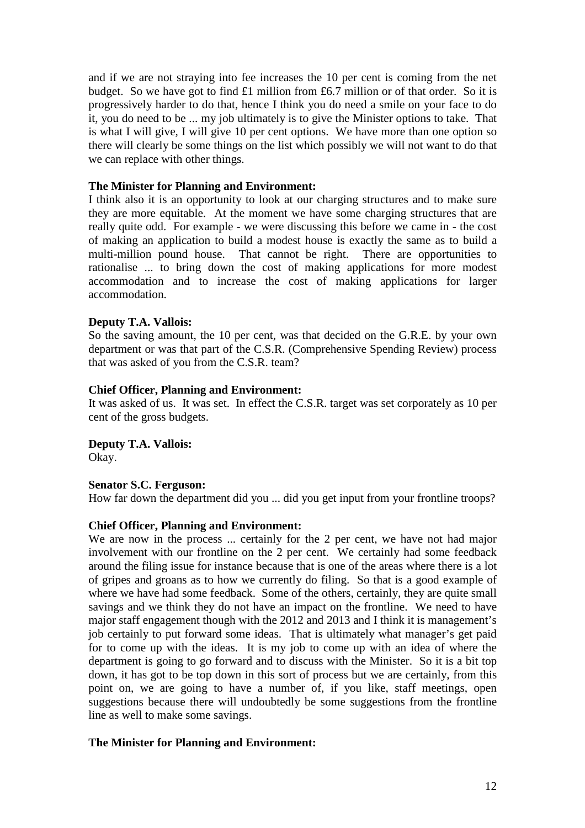and if we are not straying into fee increases the 10 per cent is coming from the net budget. So we have got to find £1 million from £6.7 million or of that order. So it is progressively harder to do that, hence I think you do need a smile on your face to do it, you do need to be ... my job ultimately is to give the Minister options to take. That is what I will give, I will give 10 per cent options. We have more than one option so there will clearly be some things on the list which possibly we will not want to do that we can replace with other things.

#### **The Minister for Planning and Environment:**

I think also it is an opportunity to look at our charging structures and to make sure they are more equitable. At the moment we have some charging structures that are really quite odd. For example - we were discussing this before we came in - the cost of making an application to build a modest house is exactly the same as to build a multi-million pound house. That cannot be right. There are opportunities to rationalise ... to bring down the cost of making applications for more modest accommodation and to increase the cost of making applications for larger accommodation.

#### **Deputy T.A. Vallois:**

So the saving amount, the 10 per cent, was that decided on the G.R.E. by your own department or was that part of the C.S.R. (Comprehensive Spending Review) process that was asked of you from the C.S.R. team?

#### **Chief Officer, Planning and Environment:**

It was asked of us. It was set. In effect the C.S.R. target was set corporately as 10 per cent of the gross budgets.

**Deputy T.A. Vallois:**  Okay.

#### **Senator S.C. Ferguson:**

How far down the department did you ... did you get input from your frontline troops?

## **Chief Officer, Planning and Environment:**

We are now in the process ... certainly for the 2 per cent, we have not had major involvement with our frontline on the 2 per cent. We certainly had some feedback around the filing issue for instance because that is one of the areas where there is a lot of gripes and groans as to how we currently do filing. So that is a good example of where we have had some feedback. Some of the others, certainly, they are quite small savings and we think they do not have an impact on the frontline. We need to have major staff engagement though with the 2012 and 2013 and I think it is management's job certainly to put forward some ideas. That is ultimately what manager's get paid for to come up with the ideas. It is my job to come up with an idea of where the department is going to go forward and to discuss with the Minister. So it is a bit top down, it has got to be top down in this sort of process but we are certainly, from this point on, we are going to have a number of, if you like, staff meetings, open suggestions because there will undoubtedly be some suggestions from the frontline line as well to make some savings.

## **The Minister for Planning and Environment:**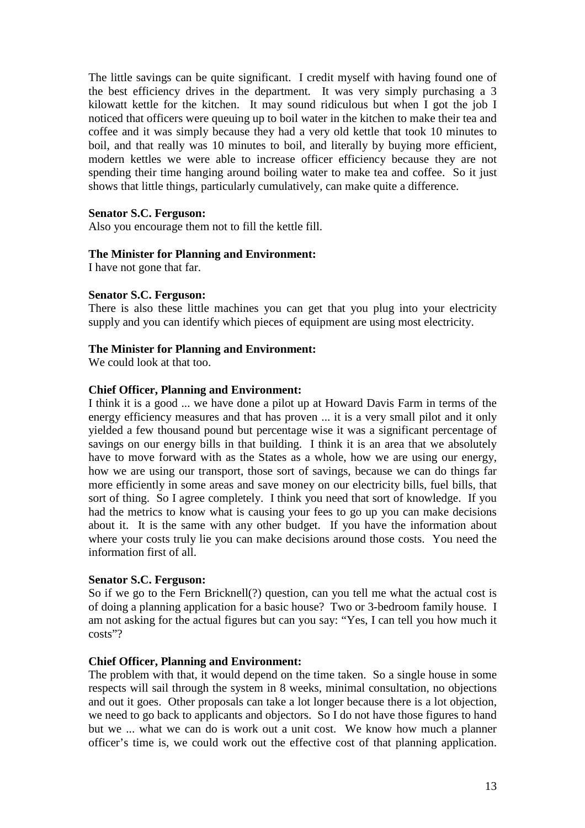The little savings can be quite significant. I credit myself with having found one of the best efficiency drives in the department. It was very simply purchasing a 3 kilowatt kettle for the kitchen. It may sound ridiculous but when I got the job I noticed that officers were queuing up to boil water in the kitchen to make their tea and coffee and it was simply because they had a very old kettle that took 10 minutes to boil, and that really was 10 minutes to boil, and literally by buying more efficient, modern kettles we were able to increase officer efficiency because they are not spending their time hanging around boiling water to make tea and coffee. So it just shows that little things, particularly cumulatively, can make quite a difference.

## **Senator S.C. Ferguson:**

Also you encourage them not to fill the kettle fill.

## **The Minister for Planning and Environment:**

I have not gone that far.

## **Senator S.C. Ferguson:**

There is also these little machines you can get that you plug into your electricity supply and you can identify which pieces of equipment are using most electricity.

## **The Minister for Planning and Environment:**

We could look at that too.

## **Chief Officer, Planning and Environment:**

I think it is a good ... we have done a pilot up at Howard Davis Farm in terms of the energy efficiency measures and that has proven ... it is a very small pilot and it only yielded a few thousand pound but percentage wise it was a significant percentage of savings on our energy bills in that building. I think it is an area that we absolutely have to move forward with as the States as a whole, how we are using our energy, how we are using our transport, those sort of savings, because we can do things far more efficiently in some areas and save money on our electricity bills, fuel bills, that sort of thing. So I agree completely. I think you need that sort of knowledge. If you had the metrics to know what is causing your fees to go up you can make decisions about it. It is the same with any other budget. If you have the information about where your costs truly lie you can make decisions around those costs. You need the information first of all.

## **Senator S.C. Ferguson:**

So if we go to the Fern Bricknell(?) question, can you tell me what the actual cost is of doing a planning application for a basic house? Two or 3-bedroom family house. I am not asking for the actual figures but can you say: "Yes, I can tell you how much it costs"?

## **Chief Officer, Planning and Environment:**

The problem with that, it would depend on the time taken. So a single house in some respects will sail through the system in 8 weeks, minimal consultation, no objections and out it goes. Other proposals can take a lot longer because there is a lot objection, we need to go back to applicants and objectors. So I do not have those figures to hand but we ... what we can do is work out a unit cost. We know how much a planner officer's time is, we could work out the effective cost of that planning application.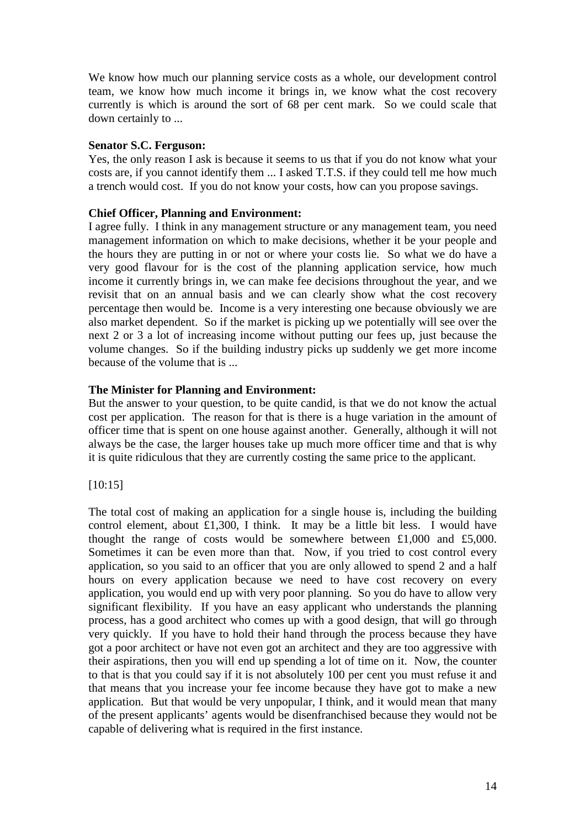We know how much our planning service costs as a whole, our development control team, we know how much income it brings in, we know what the cost recovery currently is which is around the sort of 68 per cent mark. So we could scale that down certainly to ...

## **Senator S.C. Ferguson:**

Yes, the only reason I ask is because it seems to us that if you do not know what your costs are, if you cannot identify them ... I asked T.T.S. if they could tell me how much a trench would cost. If you do not know your costs, how can you propose savings.

## **Chief Officer, Planning and Environment:**

I agree fully. I think in any management structure or any management team, you need management information on which to make decisions, whether it be your people and the hours they are putting in or not or where your costs lie. So what we do have a very good flavour for is the cost of the planning application service, how much income it currently brings in, we can make fee decisions throughout the year, and we revisit that on an annual basis and we can clearly show what the cost recovery percentage then would be. Income is a very interesting one because obviously we are also market dependent. So if the market is picking up we potentially will see over the next 2 or 3 a lot of increasing income without putting our fees up, just because the volume changes. So if the building industry picks up suddenly we get more income because of the volume that is ...

## **The Minister for Planning and Environment:**

But the answer to your question, to be quite candid, is that we do not know the actual cost per application. The reason for that is there is a huge variation in the amount of officer time that is spent on one house against another. Generally, although it will not always be the case, the larger houses take up much more officer time and that is why it is quite ridiculous that they are currently costing the same price to the applicant.

## [10:15]

The total cost of making an application for a single house is, including the building control element, about £1,300, I think. It may be a little bit less. I would have thought the range of costs would be somewhere between £1,000 and £5,000. Sometimes it can be even more than that. Now, if you tried to cost control every application, so you said to an officer that you are only allowed to spend 2 and a half hours on every application because we need to have cost recovery on every application, you would end up with very poor planning. So you do have to allow very significant flexibility. If you have an easy applicant who understands the planning process, has a good architect who comes up with a good design, that will go through very quickly. If you have to hold their hand through the process because they have got a poor architect or have not even got an architect and they are too aggressive with their aspirations, then you will end up spending a lot of time on it. Now, the counter to that is that you could say if it is not absolutely 100 per cent you must refuse it and that means that you increase your fee income because they have got to make a new application. But that would be very unpopular, I think, and it would mean that many of the present applicants' agents would be disenfranchised because they would not be capable of delivering what is required in the first instance.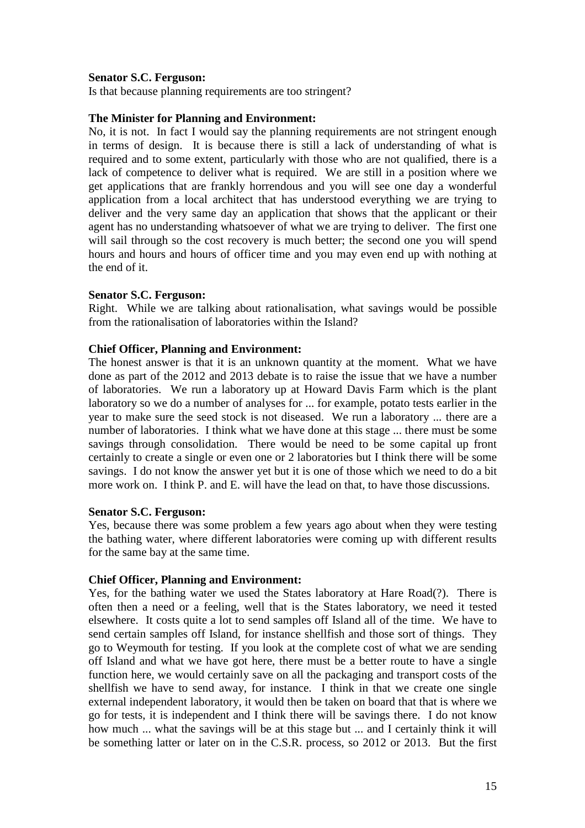#### **Senator S.C. Ferguson:**

Is that because planning requirements are too stringent?

#### **The Minister for Planning and Environment:**

No, it is not. In fact I would say the planning requirements are not stringent enough in terms of design. It is because there is still a lack of understanding of what is required and to some extent, particularly with those who are not qualified, there is a lack of competence to deliver what is required. We are still in a position where we get applications that are frankly horrendous and you will see one day a wonderful application from a local architect that has understood everything we are trying to deliver and the very same day an application that shows that the applicant or their agent has no understanding whatsoever of what we are trying to deliver. The first one will sail through so the cost recovery is much better; the second one you will spend hours and hours and hours of officer time and you may even end up with nothing at the end of it.

#### **Senator S.C. Ferguson:**

Right. While we are talking about rationalisation, what savings would be possible from the rationalisation of laboratories within the Island?

#### **Chief Officer, Planning and Environment:**

The honest answer is that it is an unknown quantity at the moment. What we have done as part of the 2012 and 2013 debate is to raise the issue that we have a number of laboratories. We run a laboratory up at Howard Davis Farm which is the plant laboratory so we do a number of analyses for ... for example, potato tests earlier in the year to make sure the seed stock is not diseased. We run a laboratory ... there are a number of laboratories. I think what we have done at this stage ... there must be some savings through consolidation. There would be need to be some capital up front certainly to create a single or even one or 2 laboratories but I think there will be some savings. I do not know the answer yet but it is one of those which we need to do a bit more work on. I think P. and E. will have the lead on that, to have those discussions.

#### **Senator S.C. Ferguson:**

Yes, because there was some problem a few years ago about when they were testing the bathing water, where different laboratories were coming up with different results for the same bay at the same time.

## **Chief Officer, Planning and Environment:**

Yes, for the bathing water we used the States laboratory at Hare Road(?). There is often then a need or a feeling, well that is the States laboratory, we need it tested elsewhere. It costs quite a lot to send samples off Island all of the time. We have to send certain samples off Island, for instance shellfish and those sort of things. They go to Weymouth for testing. If you look at the complete cost of what we are sending off Island and what we have got here, there must be a better route to have a single function here, we would certainly save on all the packaging and transport costs of the shellfish we have to send away, for instance. I think in that we create one single external independent laboratory, it would then be taken on board that that is where we go for tests, it is independent and I think there will be savings there. I do not know how much ... what the savings will be at this stage but ... and I certainly think it will be something latter or later on in the C.S.R. process, so 2012 or 2013. But the first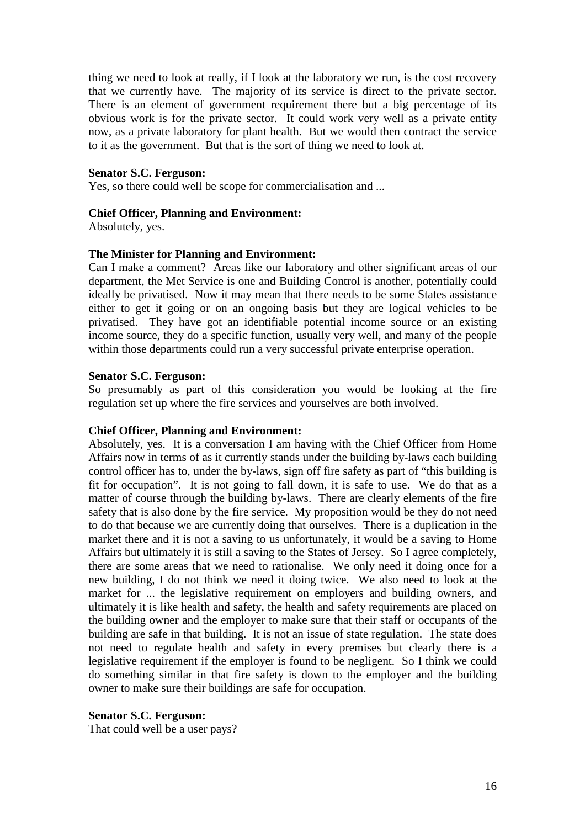thing we need to look at really, if I look at the laboratory we run, is the cost recovery that we currently have. The majority of its service is direct to the private sector. There is an element of government requirement there but a big percentage of its obvious work is for the private sector. It could work very well as a private entity now, as a private laboratory for plant health. But we would then contract the service to it as the government. But that is the sort of thing we need to look at.

#### **Senator S.C. Ferguson:**

Yes, so there could well be scope for commercialisation and ...

#### **Chief Officer, Planning and Environment:**

Absolutely, yes.

#### **The Minister for Planning and Environment:**

Can I make a comment? Areas like our laboratory and other significant areas of our department, the Met Service is one and Building Control is another, potentially could ideally be privatised. Now it may mean that there needs to be some States assistance either to get it going or on an ongoing basis but they are logical vehicles to be privatised. They have got an identifiable potential income source or an existing income source, they do a specific function, usually very well, and many of the people within those departments could run a very successful private enterprise operation.

#### **Senator S.C. Ferguson:**

So presumably as part of this consideration you would be looking at the fire regulation set up where the fire services and yourselves are both involved.

#### **Chief Officer, Planning and Environment:**

Absolutely, yes. It is a conversation I am having with the Chief Officer from Home Affairs now in terms of as it currently stands under the building by-laws each building control officer has to, under the by-laws, sign off fire safety as part of "this building is fit for occupation". It is not going to fall down, it is safe to use. We do that as a matter of course through the building by-laws. There are clearly elements of the fire safety that is also done by the fire service. My proposition would be they do not need to do that because we are currently doing that ourselves. There is a duplication in the market there and it is not a saving to us unfortunately, it would be a saving to Home Affairs but ultimately it is still a saving to the States of Jersey. So I agree completely, there are some areas that we need to rationalise. We only need it doing once for a new building, I do not think we need it doing twice. We also need to look at the market for ... the legislative requirement on employers and building owners, and ultimately it is like health and safety, the health and safety requirements are placed on the building owner and the employer to make sure that their staff or occupants of the building are safe in that building. It is not an issue of state regulation. The state does not need to regulate health and safety in every premises but clearly there is a legislative requirement if the employer is found to be negligent. So I think we could do something similar in that fire safety is down to the employer and the building owner to make sure their buildings are safe for occupation.

#### **Senator S.C. Ferguson:**

That could well be a user pays?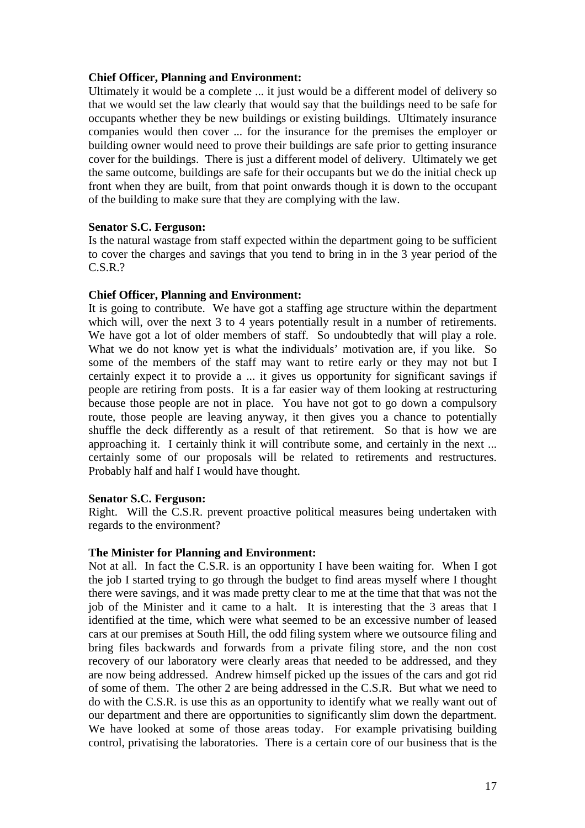## **Chief Officer, Planning and Environment:**

Ultimately it would be a complete ... it just would be a different model of delivery so that we would set the law clearly that would say that the buildings need to be safe for occupants whether they be new buildings or existing buildings. Ultimately insurance companies would then cover ... for the insurance for the premises the employer or building owner would need to prove their buildings are safe prior to getting insurance cover for the buildings. There is just a different model of delivery. Ultimately we get the same outcome, buildings are safe for their occupants but we do the initial check up front when they are built, from that point onwards though it is down to the occupant of the building to make sure that they are complying with the law.

## **Senator S.C. Ferguson:**

Is the natural wastage from staff expected within the department going to be sufficient to cover the charges and savings that you tend to bring in in the 3 year period of the C.S.R.?

## **Chief Officer, Planning and Environment:**

It is going to contribute. We have got a staffing age structure within the department which will, over the next 3 to 4 years potentially result in a number of retirements. We have got a lot of older members of staff. So undoubtedly that will play a role. What we do not know yet is what the individuals' motivation are, if you like. So some of the members of the staff may want to retire early or they may not but I certainly expect it to provide a ... it gives us opportunity for significant savings if people are retiring from posts. It is a far easier way of them looking at restructuring because those people are not in place. You have not got to go down a compulsory route, those people are leaving anyway, it then gives you a chance to potentially shuffle the deck differently as a result of that retirement. So that is how we are approaching it. I certainly think it will contribute some, and certainly in the next ... certainly some of our proposals will be related to retirements and restructures. Probably half and half I would have thought.

## **Senator S.C. Ferguson:**

Right. Will the C.S.R. prevent proactive political measures being undertaken with regards to the environment?

## **The Minister for Planning and Environment:**

Not at all. In fact the C.S.R. is an opportunity I have been waiting for. When I got the job I started trying to go through the budget to find areas myself where I thought there were savings, and it was made pretty clear to me at the time that that was not the job of the Minister and it came to a halt. It is interesting that the 3 areas that I identified at the time, which were what seemed to be an excessive number of leased cars at our premises at South Hill, the odd filing system where we outsource filing and bring files backwards and forwards from a private filing store, and the non cost recovery of our laboratory were clearly areas that needed to be addressed, and they are now being addressed. Andrew himself picked up the issues of the cars and got rid of some of them. The other 2 are being addressed in the C.S.R. But what we need to do with the C.S.R. is use this as an opportunity to identify what we really want out of our department and there are opportunities to significantly slim down the department. We have looked at some of those areas today. For example privatising building control, privatising the laboratories. There is a certain core of our business that is the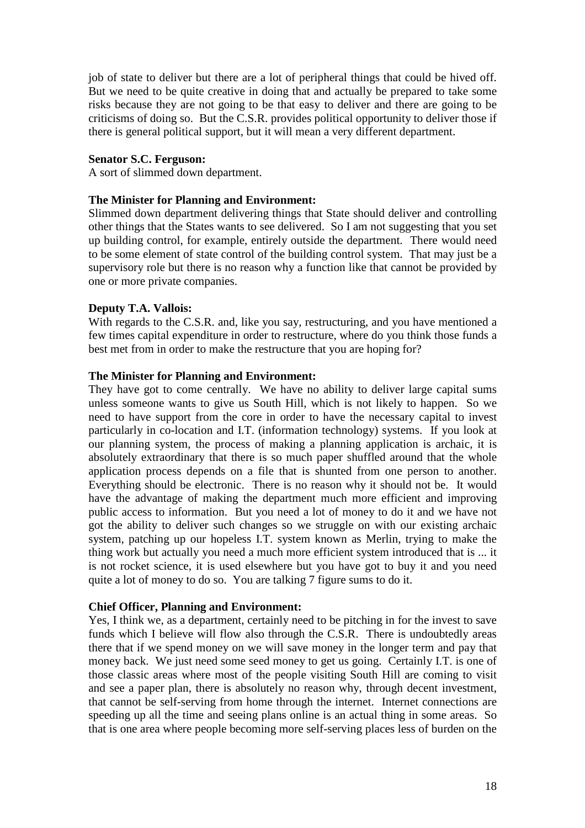job of state to deliver but there are a lot of peripheral things that could be hived off. But we need to be quite creative in doing that and actually be prepared to take some risks because they are not going to be that easy to deliver and there are going to be criticisms of doing so. But the C.S.R. provides political opportunity to deliver those if there is general political support, but it will mean a very different department.

#### **Senator S.C. Ferguson:**

A sort of slimmed down department.

## **The Minister for Planning and Environment:**

Slimmed down department delivering things that State should deliver and controlling other things that the States wants to see delivered. So I am not suggesting that you set up building control, for example, entirely outside the department. There would need to be some element of state control of the building control system. That may just be a supervisory role but there is no reason why a function like that cannot be provided by one or more private companies.

## **Deputy T.A. Vallois:**

With regards to the C.S.R. and, like you say, restructuring, and you have mentioned a few times capital expenditure in order to restructure, where do you think those funds a best met from in order to make the restructure that you are hoping for?

#### **The Minister for Planning and Environment:**

They have got to come centrally. We have no ability to deliver large capital sums unless someone wants to give us South Hill, which is not likely to happen. So we need to have support from the core in order to have the necessary capital to invest particularly in co-location and I.T. (information technology) systems. If you look at our planning system, the process of making a planning application is archaic, it is absolutely extraordinary that there is so much paper shuffled around that the whole application process depends on a file that is shunted from one person to another. Everything should be electronic. There is no reason why it should not be. It would have the advantage of making the department much more efficient and improving public access to information. But you need a lot of money to do it and we have not got the ability to deliver such changes so we struggle on with our existing archaic system, patching up our hopeless I.T. system known as Merlin, trying to make the thing work but actually you need a much more efficient system introduced that is ... it is not rocket science, it is used elsewhere but you have got to buy it and you need quite a lot of money to do so. You are talking 7 figure sums to do it.

#### **Chief Officer, Planning and Environment:**

Yes, I think we, as a department, certainly need to be pitching in for the invest to save funds which I believe will flow also through the C.S.R. There is undoubtedly areas there that if we spend money on we will save money in the longer term and pay that money back. We just need some seed money to get us going. Certainly I.T. is one of those classic areas where most of the people visiting South Hill are coming to visit and see a paper plan, there is absolutely no reason why, through decent investment, that cannot be self-serving from home through the internet. Internet connections are speeding up all the time and seeing plans online is an actual thing in some areas. So that is one area where people becoming more self-serving places less of burden on the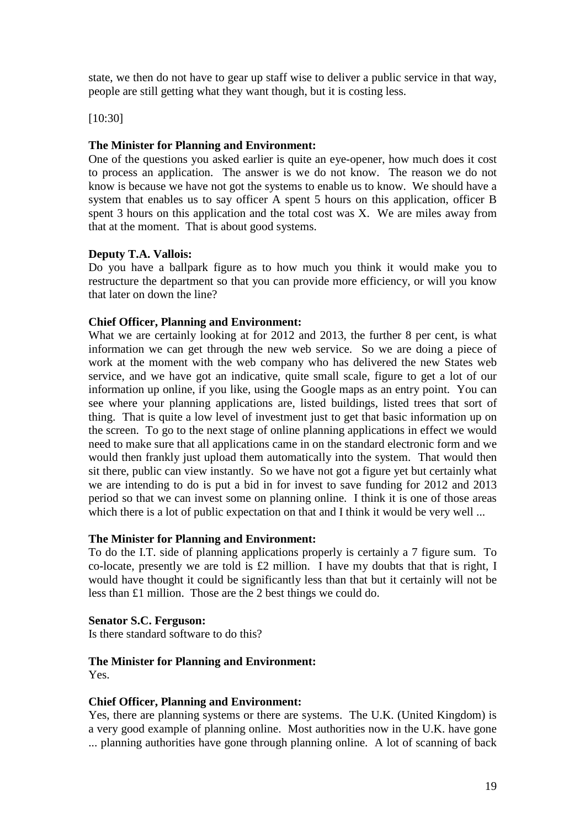state, we then do not have to gear up staff wise to deliver a public service in that way, people are still getting what they want though, but it is costing less.

[10:30]

## **The Minister for Planning and Environment:**

One of the questions you asked earlier is quite an eye-opener, how much does it cost to process an application. The answer is we do not know. The reason we do not know is because we have not got the systems to enable us to know. We should have a system that enables us to say officer A spent 5 hours on this application, officer B spent 3 hours on this application and the total cost was X. We are miles away from that at the moment. That is about good systems.

## **Deputy T.A. Vallois:**

Do you have a ballpark figure as to how much you think it would make you to restructure the department so that you can provide more efficiency, or will you know that later on down the line?

## **Chief Officer, Planning and Environment:**

What we are certainly looking at for 2012 and 2013, the further 8 per cent, is what information we can get through the new web service. So we are doing a piece of work at the moment with the web company who has delivered the new States web service, and we have got an indicative, quite small scale, figure to get a lot of our information up online, if you like, using the Google maps as an entry point. You can see where your planning applications are, listed buildings, listed trees that sort of thing. That is quite a low level of investment just to get that basic information up on the screen. To go to the next stage of online planning applications in effect we would need to make sure that all applications came in on the standard electronic form and we would then frankly just upload them automatically into the system. That would then sit there, public can view instantly. So we have not got a figure yet but certainly what we are intending to do is put a bid in for invest to save funding for 2012 and 2013 period so that we can invest some on planning online. I think it is one of those areas which there is a lot of public expectation on that and I think it would be very well ...

## **The Minister for Planning and Environment:**

To do the I.T. side of planning applications properly is certainly a 7 figure sum. To co-locate, presently we are told is £2 million. I have my doubts that that is right, I would have thought it could be significantly less than that but it certainly will not be less than £1 million. Those are the 2 best things we could do.

## **Senator S.C. Ferguson:**

Is there standard software to do this?

## **The Minister for Planning and Environment:**

Yes.

## **Chief Officer, Planning and Environment:**

Yes, there are planning systems or there are systems. The U.K. (United Kingdom) is a very good example of planning online. Most authorities now in the U.K. have gone ... planning authorities have gone through planning online. A lot of scanning of back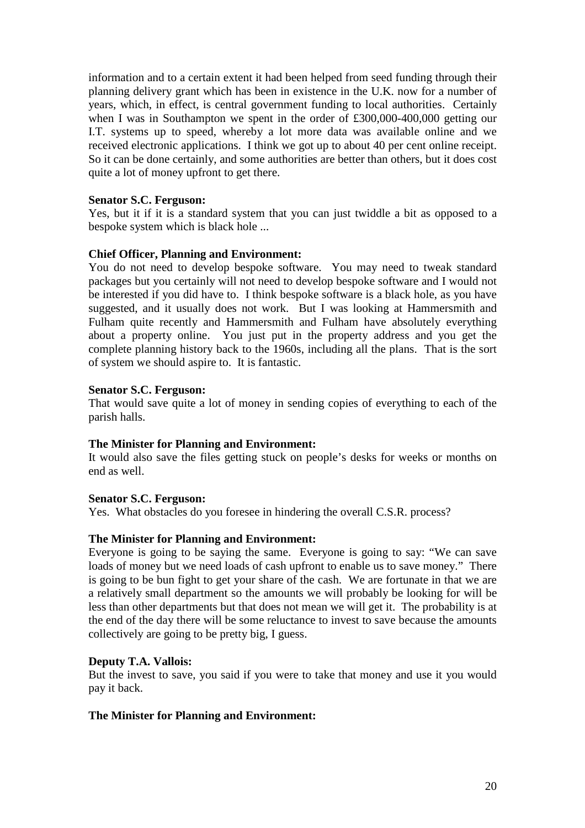information and to a certain extent it had been helped from seed funding through their planning delivery grant which has been in existence in the U.K. now for a number of years, which, in effect, is central government funding to local authorities. Certainly when I was in Southampton we spent in the order of £300,000-400,000 getting our I.T. systems up to speed, whereby a lot more data was available online and we received electronic applications. I think we got up to about 40 per cent online receipt. So it can be done certainly, and some authorities are better than others, but it does cost quite a lot of money upfront to get there.

## **Senator S.C. Ferguson:**

Yes, but it if it is a standard system that you can just twiddle a bit as opposed to a bespoke system which is black hole ...

## **Chief Officer, Planning and Environment:**

You do not need to develop bespoke software. You may need to tweak standard packages but you certainly will not need to develop bespoke software and I would not be interested if you did have to. I think bespoke software is a black hole, as you have suggested, and it usually does not work. But I was looking at Hammersmith and Fulham quite recently and Hammersmith and Fulham have absolutely everything about a property online. You just put in the property address and you get the complete planning history back to the 1960s, including all the plans. That is the sort of system we should aspire to. It is fantastic.

## **Senator S.C. Ferguson:**

That would save quite a lot of money in sending copies of everything to each of the parish halls.

## **The Minister for Planning and Environment:**

It would also save the files getting stuck on people's desks for weeks or months on end as well.

## **Senator S.C. Ferguson:**

Yes. What obstacles do you foresee in hindering the overall C.S.R. process?

## **The Minister for Planning and Environment:**

Everyone is going to be saying the same. Everyone is going to say: "We can save loads of money but we need loads of cash upfront to enable us to save money." There is going to be bun fight to get your share of the cash. We are fortunate in that we are a relatively small department so the amounts we will probably be looking for will be less than other departments but that does not mean we will get it. The probability is at the end of the day there will be some reluctance to invest to save because the amounts collectively are going to be pretty big, I guess.

## **Deputy T.A. Vallois:**

But the invest to save, you said if you were to take that money and use it you would pay it back.

## **The Minister for Planning and Environment:**